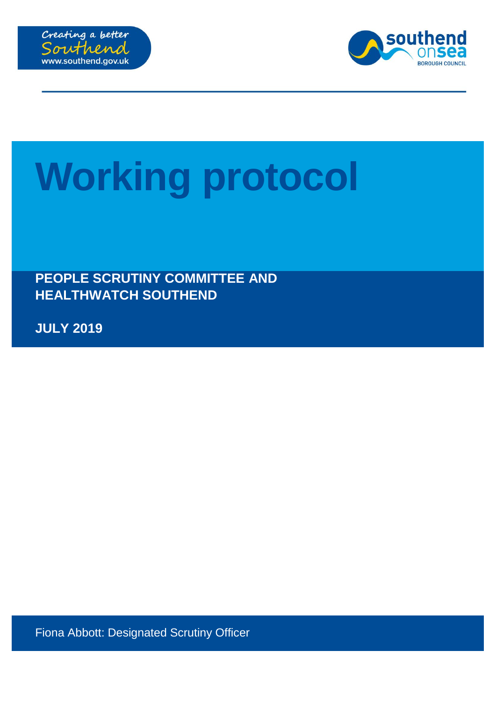



# **Working protocol**

**PEOPLE SCRUTINY COMMITTEE AND HEALTHWATCH SOUTHEND**

**JULY 2019**

Fiona Abbott: Designated Scrutiny Officer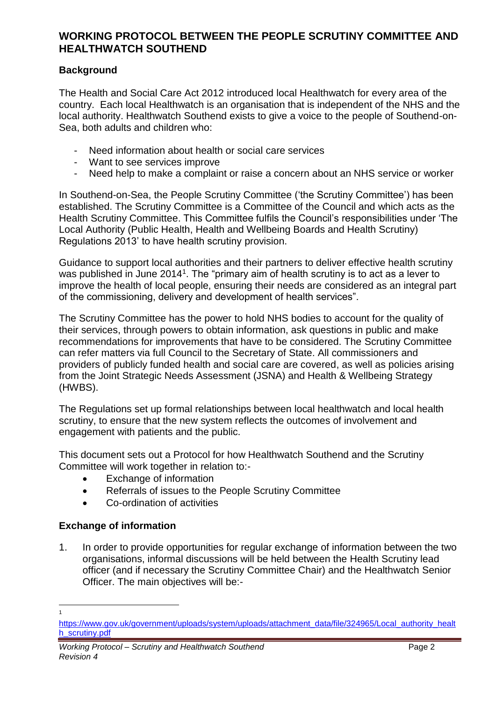# **WORKING PROTOCOL BETWEEN THE PEOPLE SCRUTINY COMMITTEE AND HEALTHWATCH SOUTHEND**

### **Background**

The Health and Social Care Act 2012 introduced local Healthwatch for every area of the country. Each local Healthwatch is an organisation that is independent of the NHS and the local authority. Healthwatch Southend exists to give a voice to the people of Southend-on-Sea, both adults and children who:

- Need information about health or social care services
- Want to see services improve
- Need help to make a complaint or raise a concern about an NHS service or worker

In Southend-on-Sea, the People Scrutiny Committee ('the Scrutiny Committee') has been established. The Scrutiny Committee is a Committee of the Council and which acts as the Health Scrutiny Committee. This Committee fulfils the Council's responsibilities under 'The Local Authority (Public Health, Health and Wellbeing Boards and Health Scrutiny) Regulations 2013' to have health scrutiny provision.

Guidance to support local authorities and their partners to deliver effective health scrutiny was published in June 2014<sup>1</sup>. The "primary aim of health scrutiny is to act as a lever to improve the health of local people, ensuring their needs are considered as an integral part of the commissioning, delivery and development of health services".

The Scrutiny Committee has the power to hold NHS bodies to account for the quality of their services, through powers to obtain information, ask questions in public and make recommendations for improvements that have to be considered. The Scrutiny Committee can refer matters via full Council to the Secretary of State. All commissioners and providers of publicly funded health and social care are covered, as well as policies arising from the Joint Strategic Needs Assessment (JSNA) and Health & Wellbeing Strategy (HWBS).

The Regulations set up formal relationships between local healthwatch and local health scrutiny, to ensure that the new system reflects the outcomes of involvement and engagement with patients and the public.

This document sets out a Protocol for how Healthwatch Southend and the Scrutiny Committee will work together in relation to:-

- Exchange of information
- Referrals of issues to the People Scrutiny Committee
- Co-ordination of activities

### **Exchange of information**

 $\overline{a}$ 1

1. In order to provide opportunities for regular exchange of information between the two organisations, informal discussions will be held between the Health Scrutiny lead officer (and if necessary the Scrutiny Committee Chair) and the Healthwatch Senior Officer. The main objectives will be:-

[https://www.gov.uk/government/uploads/system/uploads/attachment\\_data/file/324965/Local\\_authority\\_healt](https://www.gov.uk/government/uploads/system/uploads/attachment_data/file/324965/Local_authority_health_scrutiny.pdf) [h\\_scrutiny.pdf](https://www.gov.uk/government/uploads/system/uploads/attachment_data/file/324965/Local_authority_health_scrutiny.pdf)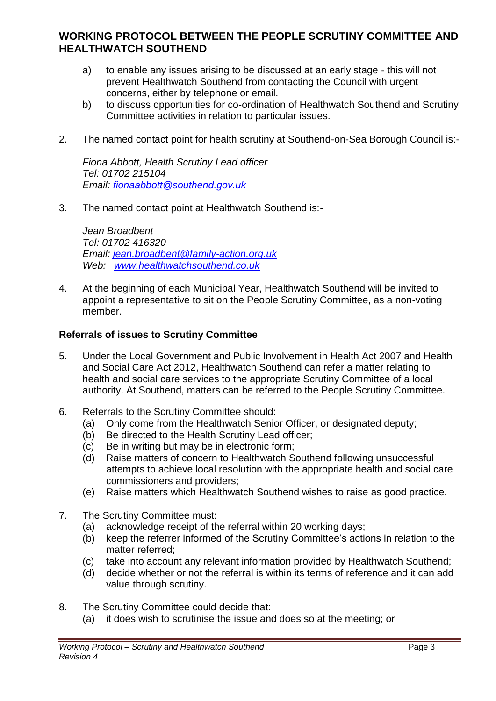## **WORKING PROTOCOL BETWEEN THE PEOPLE SCRUTINY COMMITTEE AND HEALTHWATCH SOUTHEND**

- a) to enable any issues arising to be discussed at an early stage this will not prevent Healthwatch Southend from contacting the Council with urgent concerns, either by telephone or email.
- b) to discuss opportunities for co-ordination of Healthwatch Southend and Scrutiny Committee activities in relation to particular issues.
- 2. The named contact point for health scrutiny at Southend-on-Sea Borough Council is:-

*Fiona Abbott, Health Scrutiny Lead officer Tel: 01702 215104 Email: fionaabbott@southend.gov.uk*

3. The named contact point at Healthwatch Southend is:-

*Jean Broadbent Tel: 01702 416320 Email: [jean.broadbent@family-action.org.uk](mailto:jean.broadbent@family-action.org.uk)  Web: [www.healthwatchsouthend.co.uk](http://www.healthwatchsouthend.co.uk/)*

4. At the beginning of each Municipal Year, Healthwatch Southend will be invited to appoint a representative to sit on the People Scrutiny Committee, as a non-voting member.

#### **Referrals of issues to Scrutiny Committee**

- 5. Under the Local Government and Public Involvement in Health Act 2007 and Health and Social Care Act 2012, Healthwatch Southend can refer a matter relating to health and social care services to the appropriate Scrutiny Committee of a local authority. At Southend, matters can be referred to the People Scrutiny Committee.
- 6. Referrals to the Scrutiny Committee should:
	- (a) Only come from the Healthwatch Senior Officer, or designated deputy;
	- (b) Be directed to the Health Scrutiny Lead officer;
	- (c) Be in writing but may be in electronic form;
	- (d) Raise matters of concern to Healthwatch Southend following unsuccessful attempts to achieve local resolution with the appropriate health and social care commissioners and providers;
	- (e) Raise matters which Healthwatch Southend wishes to raise as good practice.
- 7. The Scrutiny Committee must:
	- (a) acknowledge receipt of the referral within 20 working days;
	- (b) keep the referrer informed of the Scrutiny Committee's actions in relation to the matter referred;
	- (c) take into account any relevant information provided by Healthwatch Southend;
	- (d) decide whether or not the referral is within its terms of reference and it can add value through scrutiny.
- 8. The Scrutiny Committee could decide that:
	- (a) it does wish to scrutinise the issue and does so at the meeting; or